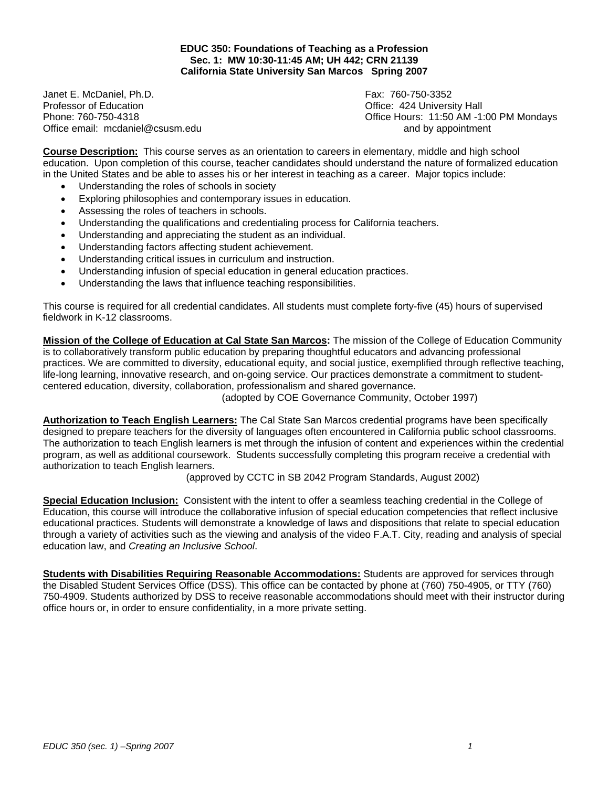**EDUC 350: Foundations of Teaching as a Profession Sec. 1: MW 10:30-11:45 AM; UH 442; CRN 21139 California State University San Marcos Spring 2007** 

Janet E. McDaniel, Ph.D. Fax: 760-750-3352 Professor of Education **Department Controller Controller Controller Controller Controller Controller Controller Controller Controller Controller Controller Controller Controller Controller Controller Controller Controller** Office email: mcdaniel@csusm.edu and by appointment

Phone: 760-750-4318 Office Hours: 11:50 AM -1:00 PM Mondays

**Course Description:** This course serves as an orientation to careers in elementary, middle and high school education. Upon completion of this course, teacher candidates should understand the nature of formalized education in the United States and be able to asses his or her interest in teaching as a career. Major topics include:

- Understanding the roles of schools in society
- Exploring philosophies and contemporary issues in education.
- Assessing the roles of teachers in schools.
- Understanding the qualifications and credentialing process for California teachers.
- Understanding and appreciating the student as an individual.
- Understanding factors affecting student achievement.
- Understanding critical issues in curriculum and instruction.
- Understanding infusion of special education in general education practices.
- Understanding the laws that influence teaching responsibilities.

This course is required for all credential candidates. All students must complete forty-five (45) hours of supervised fieldwork in K-12 classrooms.

**Mission of the College of Education at Cal State San Marcos:** The mission of the College of Education Community is to collaboratively transform public education by preparing thoughtful educators and advancing professional practices. We are committed to diversity, educational equity, and social justice, exemplified through reflective teaching, life-long learning, innovative research, and on-going service. Our practices demonstrate a commitment to studentcentered education, diversity, collaboration, professionalism and shared governance.

(adopted by COE Governance Community, October 1997)

**Authorization to Teach English Learners:** The Cal State San Marcos credential programs have been specifically designed to prepare teachers for the diversity of languages often encountered in California public school classrooms. The authorization to teach English learners is met through the infusion of content and experiences within the credential program, as well as additional coursework. Students successfully completing this program receive a credential with authorization to teach English learners.

(approved by CCTC in SB 2042 Program Standards, August 2002)

**Special Education Inclusion:** Consistent with the intent to offer a seamless teaching credential in the College of Education, this course will introduce the collaborative infusion of special education competencies that reflect inclusive educational practices. Students will demonstrate a knowledge of laws and dispositions that relate to special education through a variety of activities such as the viewing and analysis of the video F.A.T. City, reading and analysis of special education law, and *Creating an Inclusive School*.

**Students with Disabilities Requiring Reasonable Accommodations:** Students are approved for services through the Disabled Student Services Office (DSS). This office can be contacted by phone at (760) 750-4905, or TTY (760) 750-4909. Students authorized by DSS to receive reasonable accommodations should meet with their instructor during office hours or, in order to ensure confidentiality, in a more private setting.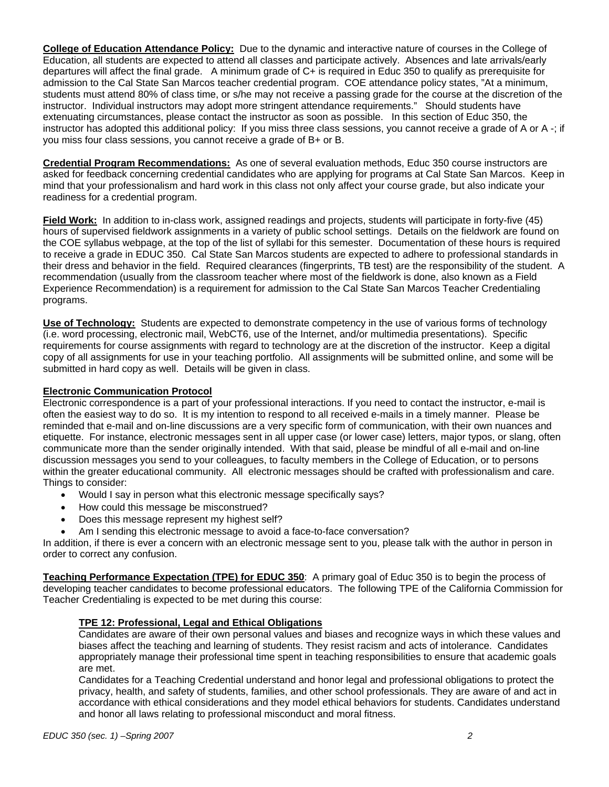**College of Education Attendance Policy:** Due to the dynamic and interactive nature of courses in the College of Education, all students are expected to attend all classes and participate actively. Absences and late arrivals/early departures will affect the final grade. A minimum grade of C+ is required in Educ 350 to qualify as prerequisite for admission to the Cal State San Marcos teacher credential program. COE attendance policy states, "At a minimum, students must attend 80% of class time, or s/he may not receive a passing grade for the course at the discretion of the instructor. Individual instructors may adopt more stringent attendance requirements." Should students have extenuating circumstances, please contact the instructor as soon as possible. In this section of Educ 350, the instructor has adopted this additional policy: If you miss three class sessions, you cannot receive a grade of A or A -; if you miss four class sessions, you cannot receive a grade of B+ or B.

**Credential Program Recommendations:** As one of several evaluation methods, Educ 350 course instructors are asked for feedback concerning credential candidates who are applying for programs at Cal State San Marcos. Keep in mind that your professionalism and hard work in this class not only affect your course grade, but also indicate your readiness for a credential program.

**Field Work:** In addition to in-class work, assigned readings and projects, students will participate in forty-five (45) hours of supervised fieldwork assignments in a variety of public school settings. Details on the fieldwork are found on the COE syllabus webpage, at the top of the list of syllabi for this semester. Documentation of these hours is required to receive a grade in EDUC 350. Cal State San Marcos students are expected to adhere to professional standards in their dress and behavior in the field. Required clearances (fingerprints, TB test) are the responsibility of the student. A recommendation (usually from the classroom teacher where most of the fieldwork is done, also known as a Field Experience Recommendation) is a requirement for admission to the Cal State San Marcos Teacher Credentialing programs.

**Use of Technology:** Students are expected to demonstrate competency in the use of various forms of technology (i.e. word processing, electronic mail, WebCT6, use of the Internet, and/or multimedia presentations). Specific requirements for course assignments with regard to technology are at the discretion of the instructor. Keep a digital copy of all assignments for use in your teaching portfolio. All assignments will be submitted online, and some will be submitted in hard copy as well. Details will be given in class.

# **Electronic Communication Protocol**

Electronic correspondence is a part of your professional interactions. If you need to contact the instructor, e-mail is often the easiest way to do so. It is my intention to respond to all received e-mails in a timely manner. Please be reminded that e-mail and on-line discussions are a very specific form of communication, with their own nuances and etiquette. For instance, electronic messages sent in all upper case (or lower case) letters, major typos, or slang, often communicate more than the sender originally intended. With that said, please be mindful of all e-mail and on-line discussion messages you send to your colleagues, to faculty members in the College of Education, or to persons within the greater educational community. All electronic messages should be crafted with professionalism and care. Things to consider:

- Would I say in person what this electronic message specifically says?
- How could this message be misconstrued?
- Does this message represent my highest self?
- Am I sending this electronic message to avoid a face-to-face conversation?

In addition, if there is ever a concern with an electronic message sent to you, please talk with the author in person in order to correct any confusion.

**Teaching Performance Expectation (TPE) for EDUC 350**: A primary goal of Educ 350 is to begin the process of developing teacher candidates to become professional educators. The following TPE of the California Commission for Teacher Credentialing is expected to be met during this course:

# **TPE 12: Professional, Legal and Ethical Obligations**

Candidates are aware of their own personal values and biases and recognize ways in which these values and biases affect the teaching and learning of students. They resist racism and acts of intolerance. Candidates appropriately manage their professional time spent in teaching responsibilities to ensure that academic goals are met.

Candidates for a Teaching Credential understand and honor legal and professional obligations to protect the privacy, health, and safety of students, families, and other school professionals. They are aware of and act in accordance with ethical considerations and they model ethical behaviors for students. Candidates understand and honor all laws relating to professional misconduct and moral fitness.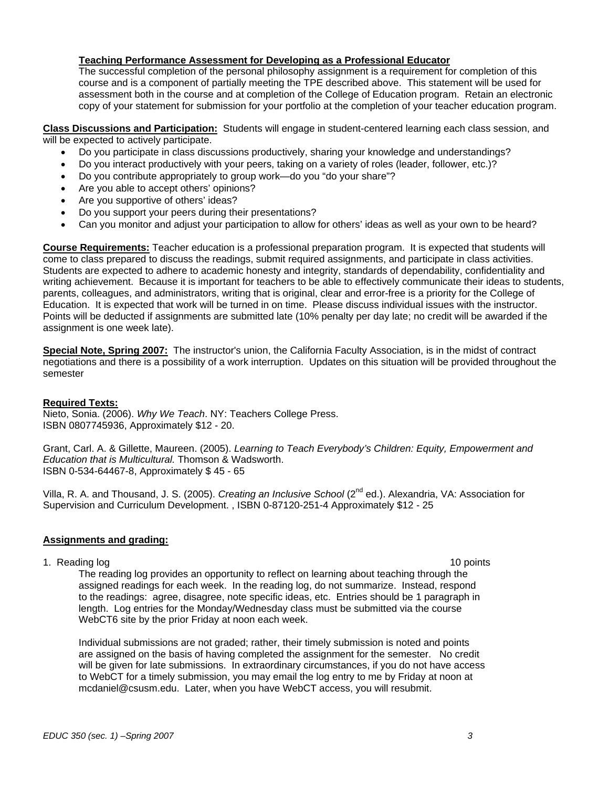# **Teaching Performance Assessment for Developing as a Professional Educator**

The successful completion of the personal philosophy assignment is a requirement for completion of this course and is a component of partially meeting the TPE described above. This statement will be used for assessment both in the course and at completion of the College of Education program. Retain an electronic copy of your statement for submission for your portfolio at the completion of your teacher education program.

**Class Discussions and Participation:** Students will engage in student-centered learning each class session, and will be expected to actively participate.

- Do you participate in class discussions productively, sharing your knowledge and understandings?
- Do you interact productively with your peers, taking on a variety of roles (leader, follower, etc.)?
- Do you contribute appropriately to group work—do you "do your share"?
- Are you able to accept others' opinions?
- Are you supportive of others' ideas?
- Do you support your peers during their presentations?
- Can you monitor and adjust your participation to allow for others' ideas as well as your own to be heard?

**Course Requirements:** Teacher education is a professional preparation program. It is expected that students will come to class prepared to discuss the readings, submit required assignments, and participate in class activities. Students are expected to adhere to academic honesty and integrity, standards of dependability, confidentiality and writing achievement. Because it is important for teachers to be able to effectively communicate their ideas to students, parents, colleagues, and administrators, writing that is original, clear and error-free is a priority for the College of Education. It is expected that work will be turned in on time. Please discuss individual issues with the instructor. Points will be deducted if assignments are submitted late (10% penalty per day late; no credit will be awarded if the assignment is one week late).

**Special Note, Spring 2007:** The instructor's union, the California Faculty Association, is in the midst of contract negotiations and there is a possibility of a work interruption. Updates on this situation will be provided throughout the semester

# **Required Texts:**

Nieto, Sonia. (2006). *Why We Teach*. NY: Teachers College Press. ISBN 0807745936, Approximately \$12 - 20.

Grant, Carl. A. & Gillette, Maureen. (2005). *Learning to Teach Everybody's Children: Equity, Empowerment and Education that is Multicultural.* Thomson & Wadsworth. ISBN 0-534-64467-8, Approximately \$ 45 - 65

Villa, R. A. and Thousand, J. S. (2005). *Creating an Inclusive School* (2nd ed.). Alexandria, VA: Association for Supervision and Curriculum Development. , ISBN 0-87120-251-4 Approximately \$12 - 25

# **Assignments and grading:**

1. Reading log 10 points and the set of the set of the set of the set of the set of the set of the set of the set of the set of the set of the set of the set of the set of the set of the set of the set of the set of the se

The reading log provides an opportunity to reflect on learning about teaching through the assigned readings for each week. In the reading log, do not summarize. Instead, respond to the readings: agree, disagree, note specific ideas, etc. Entries should be 1 paragraph in length. Log entries for the Monday/Wednesday class must be submitted via the course WebCT6 site by the prior Friday at noon each week.

Individual submissions are not graded; rather, their timely submission is noted and points are assigned on the basis of having completed the assignment for the semester. No credit will be given for late submissions. In extraordinary circumstances, if you do not have access to WebCT for a timely submission, you may email the log entry to me by Friday at noon at mcdaniel@csusm.edu. Later, when you have WebCT access, you will resubmit.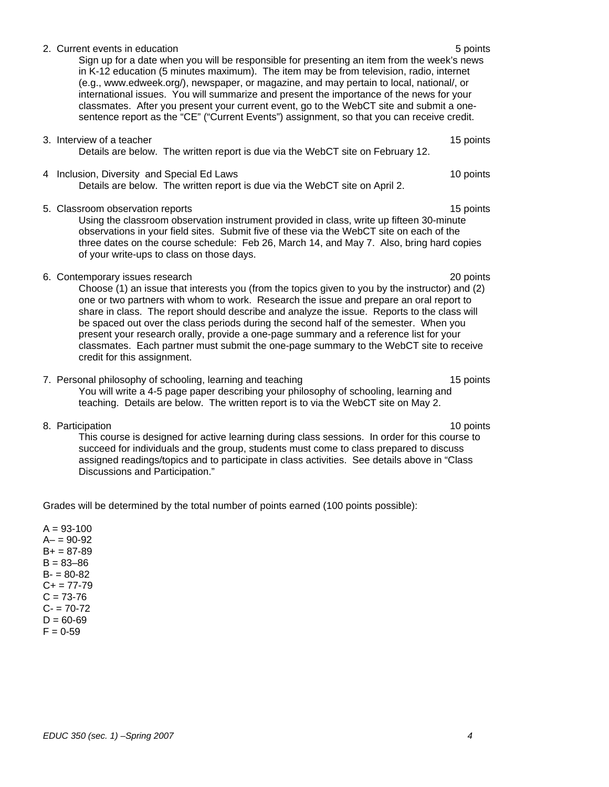# 2. Current events in education **5 points**  $\sim$  5 points **5 points**

Sign up for a date when you will be responsible for presenting an item from the week's news in K-12 education (5 minutes maximum). The item may be from television, radio, internet (e.g., www.edweek.org/), newspaper, or magazine, and may pertain to local, national/, or international issues. You will summarize and present the importance of the news for your classmates. After you present your current event, go to the WebCT site and submit a onesentence report as the "CE" ("Current Events") assignment, so that you can receive credit.

- 3. Interview of a teacher 15 points and the set of the set of the set of the set of the set of the set of the set of the set of the set of the set of the set of the set of the set of the set of the set of the set of the se Details are below. The written report is due via the WebCT site on February 12.
- 4 Inclusion, Diversity and Special Ed Laws 10 points 10 points 10 points Details are below. The written report is due via the WebCT site on April 2.
- 5. Classroom observation reports 15 points 15 points 15 points 15 points 15 points 15 points 15 points 15 points 15 points 15 points 15 points 15 points 15 points 15 points 15 points 15 points 15 points 15 points 15 points

Using the classroom observation instrument provided in class, write up fifteen 30-minute observations in your field sites. Submit five of these via the WebCT site on each of the three dates on the course schedule: Feb 26, March 14, and May 7. Also, bring hard copies of your write-ups to class on those days.

6. Contemporary issues research 20 points

Choose (1) an issue that interests you (from the topics given to you by the instructor) and (2) one or two partners with whom to work. Research the issue and prepare an oral report to share in class. The report should describe and analyze the issue. Reports to the class will be spaced out over the class periods during the second half of the semester. When you present your research orally, provide a one-page summary and a reference list for your classmates. Each partner must submit the one-page summary to the WebCT site to receive credit for this assignment.

- 7. Personal philosophy of schooling, learning and teaching 15 points 15 points You will write a 4-5 page paper describing your philosophy of schooling, learning and teaching. Details are below. The written report is to via the WebCT site on May 2.
- 8. Participation 10 points and the set of the set of the set of the set of the set of the set of the set of the set of the set of the set of the set of the set of the set of the set of the set of the set of the set of the This course is designed for active learning during class sessions. In order for this course to succeed for individuals and the group, students must come to class prepared to discuss assigned readings/topics and to participate in class activities. See details above in "Class Discussions and Participation."

Grades will be determined by the total number of points earned (100 points possible):

 $A = 93 - 100$  $A - 90 - 92$  $B+ = 87-89$  $B = 83 - 86$  $B = 80 - 82$  $C+= 77-79$  $C = 73 - 76$  $C = 70-72$  $D = 60 - 69$  $F = 0.59$ 

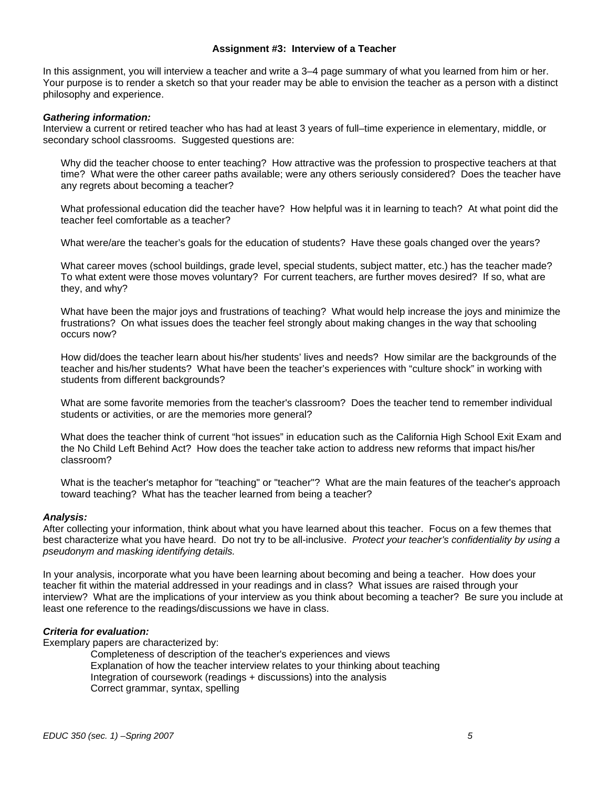# **Assignment #3: Interview of a Teacher**

In this assignment, you will interview a teacher and write a 3–4 page summary of what you learned from him or her. Your purpose is to render a sketch so that your reader may be able to envision the teacher as a person with a distinct philosophy and experience.

### *Gathering information:*

Interview a current or retired teacher who has had at least 3 years of full–time experience in elementary, middle, or secondary school classrooms. Suggested questions are:

Why did the teacher choose to enter teaching? How attractive was the profession to prospective teachers at that time? What were the other career paths available; were any others seriously considered? Does the teacher have any regrets about becoming a teacher?

What professional education did the teacher have? How helpful was it in learning to teach? At what point did the teacher feel comfortable as a teacher?

What were/are the teacher's goals for the education of students? Have these goals changed over the years?

What career moves (school buildings, grade level, special students, subject matter, etc.) has the teacher made? To what extent were those moves voluntary? For current teachers, are further moves desired? If so, what are they, and why?

What have been the major joys and frustrations of teaching? What would help increase the joys and minimize the frustrations? On what issues does the teacher feel strongly about making changes in the way that schooling occurs now?

How did/does the teacher learn about his/her students' lives and needs? How similar are the backgrounds of the teacher and his/her students? What have been the teacher's experiences with "culture shock" in working with students from different backgrounds?

What are some favorite memories from the teacher's classroom? Does the teacher tend to remember individual students or activities, or are the memories more general?

What does the teacher think of current "hot issues" in education such as the California High School Exit Exam and the No Child Left Behind Act? How does the teacher take action to address new reforms that impact his/her classroom?

What is the teacher's metaphor for "teaching" or "teacher"? What are the main features of the teacher's approach toward teaching? What has the teacher learned from being a teacher?

# *Analysis:*

After collecting your information, think about what you have learned about this teacher. Focus on a few themes that best characterize what you have heard. Do not try to be all-inclusive. *Protect your teacher's confidentiality by using a pseudonym and masking identifying details.* 

In your analysis, incorporate what you have been learning about becoming and being a teacher. How does your teacher fit within the material addressed in your readings and in class? What issues are raised through your interview? What are the implications of your interview as you think about becoming a teacher? Be sure you include at least one reference to the readings/discussions we have in class.

# *Criteria for evaluation:*

Exemplary papers are characterized by:

Completeness of description of the teacher's experiences and views Explanation of how the teacher interview relates to your thinking about teaching Integration of coursework (readings + discussions) into the analysis Correct grammar, syntax, spelling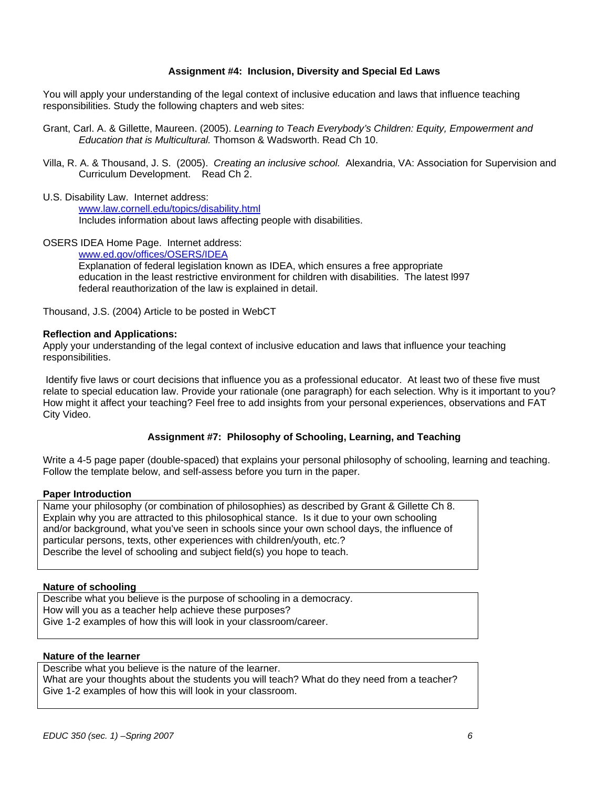# **Assignment #4: Inclusion, Diversity and Special Ed Laws**

You will apply your understanding of the legal context of inclusive education and laws that influence teaching responsibilities. Study the following chapters and web sites:

- Grant, Carl. A. & Gillette, Maureen. (2005). *Learning to Teach Everybody's Children: Equity, Empowerment and Education that is Multicultural.* Thomson & Wadsworth. Read Ch 10.
- Villa, R. A. & Thousand, J. S. (2005). *Creating an inclusive school.* Alexandria, VA: Association for Supervision and Curriculum Development. Read Ch 2.
- U.S. Disability Law. Internet address:

www.law.cornell.edu/topics/disability.html Includes information about laws affecting people with disabilities.

OSERS IDEA Home Page. Internet address:

www.ed.gov/offices/OSERS/IDEA Explanation of federal legislation known as IDEA, which ensures a free appropriate education in the least restrictive environment for children with disabilities. The latest l997 federal reauthorization of the law is explained in detail.

Thousand, J.S. (2004) Article to be posted in WebCT

#### **Reflection and Applications:**

Apply your understanding of the legal context of inclusive education and laws that influence your teaching responsibilities.

 Identify five laws or court decisions that influence you as a professional educator. At least two of these five must relate to special education law. Provide your rationale (one paragraph) for each selection. Why is it important to you? How might it affect your teaching? Feel free to add insights from your personal experiences, observations and FAT City Video.

# **Assignment #7: Philosophy of Schooling, Learning, and Teaching**

Write a 4-5 page paper (double-spaced) that explains your personal philosophy of schooling, learning and teaching. Follow the template below, and self-assess before you turn in the paper.

#### **Paper Introduction**

Name your philosophy (or combination of philosophies) as described by Grant & Gillette Ch 8. Explain why you are attracted to this philosophical stance. Is it due to your own schooling and/or background, what you've seen in schools since your own school days, the influence of particular persons, texts, other experiences with children/youth, etc.? Describe the level of schooling and subject field(s) you hope to teach.

#### **Nature of schooling**

Describe what you believe is the purpose of schooling in a democracy. How will you as a teacher help achieve these purposes? Give 1-2 examples of how this will look in your classroom/career.

# **Nature of the learner**

Describe what you believe is the nature of the learner. What are your thoughts about the students you will teach? What do they need from a teacher? Give 1-2 examples of how this will look in your classroom.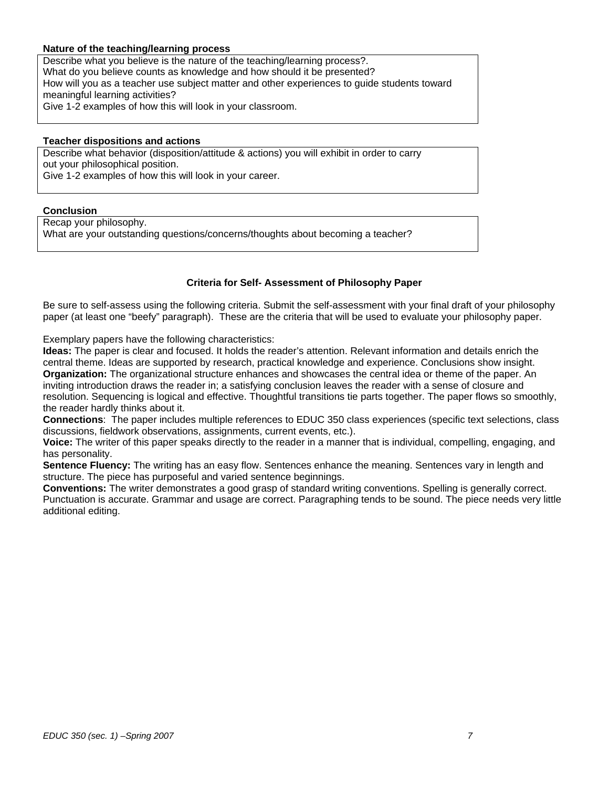# **Nature of the teaching/learning process**

Describe what you believe is the nature of the teaching/learning process?. What do you believe counts as knowledge and how should it be presented? How will you as a teacher use subject matter and other experiences to guide students toward meaningful learning activities? Give 1-2 examples of how this will look in your classroom.

#### **Teacher dispositions and actions**

Describe what behavior (disposition/attitude & actions) you will exhibit in order to carry out your philosophical position.

Give 1-2 examples of how this will look in your career.

# **Conclusion**

Recap your philosophy. What are your outstanding questions/concerns/thoughts about becoming a teacher?

# **Criteria for Self- Assessment of Philosophy Paper**

Be sure to self-assess using the following criteria. Submit the self-assessment with your final draft of your philosophy paper (at least one "beefy" paragraph). These are the criteria that will be used to evaluate your philosophy paper.

Exemplary papers have the following characteristics:

**Ideas:** The paper is clear and focused. It holds the reader's attention. Relevant information and details enrich the central theme. Ideas are supported by research, practical knowledge and experience. Conclusions show insight. **Organization:** The organizational structure enhances and showcases the central idea or theme of the paper. An inviting introduction draws the reader in; a satisfying conclusion leaves the reader with a sense of closure and resolution. Sequencing is logical and effective. Thoughtful transitions tie parts together. The paper flows so smoothly, the reader hardly thinks about it.

**Connections**: The paper includes multiple references to EDUC 350 class experiences (specific text selections, class discussions, fieldwork observations, assignments, current events, etc.).

**Voice:** The writer of this paper speaks directly to the reader in a manner that is individual, compelling, engaging, and has personality.

**Sentence Fluency:** The writing has an easy flow. Sentences enhance the meaning. Sentences vary in length and structure. The piece has purposeful and varied sentence beginnings.

**Conventions:** The writer demonstrates a good grasp of standard writing conventions. Spelling is generally correct. Punctuation is accurate. Grammar and usage are correct. Paragraphing tends to be sound. The piece needs very little additional editing.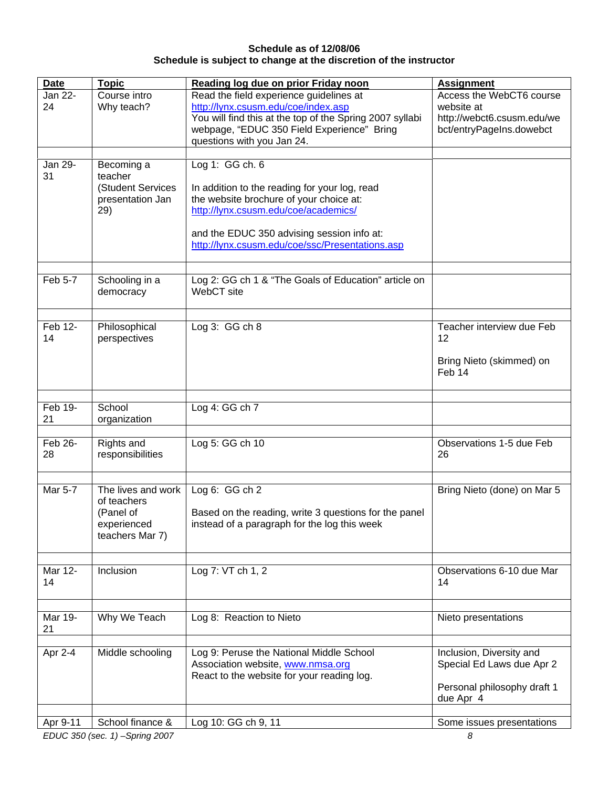# **Schedule as of 12/08/06 Schedule is subject to change at the discretion of the instructor**

| <b>Date</b> | <b>Topic</b>       | Reading log due on prior Friday noon                     | <b>Assignment</b>           |
|-------------|--------------------|----------------------------------------------------------|-----------------------------|
| Jan 22-     | Course intro       | Read the field experience guidelines at                  | Access the WebCT6 course    |
| 24          | Why teach?         | http://lynx.csusm.edu/coe/index.asp                      | website at                  |
|             |                    | You will find this at the top of the Spring 2007 syllabi | http://webct6.csusm.edu/we  |
|             |                    | webpage, "EDUC 350 Field Experience" Bring               | bct/entryPageIns.dowebct    |
|             |                    | questions with you Jan 24.                               |                             |
|             |                    |                                                          |                             |
| Jan 29-     | Becoming a         | Log 1: GG ch. 6                                          |                             |
| 31          | teacher            |                                                          |                             |
|             | (Student Services  | In addition to the reading for your log, read            |                             |
|             | presentation Jan   | the website brochure of your choice at:                  |                             |
|             | 29)                | http://lynx.csusm.edu/coe/academics/                     |                             |
|             |                    |                                                          |                             |
|             |                    | and the EDUC 350 advising session info at:               |                             |
|             |                    | http://lynx.csusm.edu/coe/ssc/Presentations.asp          |                             |
|             |                    |                                                          |                             |
|             |                    |                                                          |                             |
| Feb 5-7     | Schooling in a     | Log 2: GG ch 1 & "The Goals of Education" article on     |                             |
|             | democracy          | WebCT site                                               |                             |
|             |                    |                                                          |                             |
|             |                    |                                                          |                             |
| Feb 12-     | Philosophical      | Log $3:GGch8$                                            | Teacher interview due Feb   |
| 14          | perspectives       |                                                          | 12                          |
|             |                    |                                                          |                             |
|             |                    |                                                          | Bring Nieto (skimmed) on    |
|             |                    |                                                          | Feb 14                      |
|             |                    |                                                          |                             |
| Feb 19-     | School             | Log 4: GG ch 7                                           |                             |
| 21          | organization       |                                                          |                             |
|             |                    |                                                          |                             |
| Feb 26-     | Rights and         | Log 5: GG ch 10                                          | Observations 1-5 due Feb    |
| 28          | responsibilities   |                                                          | 26                          |
|             |                    |                                                          |                             |
|             |                    |                                                          |                             |
| Mar 5-7     | The lives and work | Log 6: GG ch 2                                           | Bring Nieto (done) on Mar 5 |
|             | of teachers        |                                                          |                             |
|             | (Panel of          | Based on the reading, write 3 questions for the panel    |                             |
|             | experienced        | instead of a paragraph for the log this week             |                             |
|             | teachers Mar 7)    |                                                          |                             |
|             |                    |                                                          |                             |
|             |                    |                                                          |                             |
| Mar 12-     | Inclusion          | Log 7: VT ch 1, 2                                        | Observations 6-10 due Mar   |
| 14          |                    |                                                          | 14                          |
|             |                    |                                                          |                             |
| Mar 19-     | Why We Teach       | Log 8: Reaction to Nieto                                 | Nieto presentations         |
| 21          |                    |                                                          |                             |
|             |                    |                                                          |                             |
| Apr 2-4     | Middle schooling   | Log 9: Peruse the National Middle School                 | Inclusion, Diversity and    |
|             |                    | Association website, www.nmsa.org                        | Special Ed Laws due Apr 2   |
|             |                    | React to the website for your reading log.               |                             |
|             |                    |                                                          | Personal philosophy draft 1 |
|             |                    |                                                          | due Apr 4                   |
|             |                    |                                                          |                             |
| Apr 9-11    | School finance &   | Log 10: GG ch 9, 11                                      | Some issues presentations   |
|             |                    |                                                          |                             |